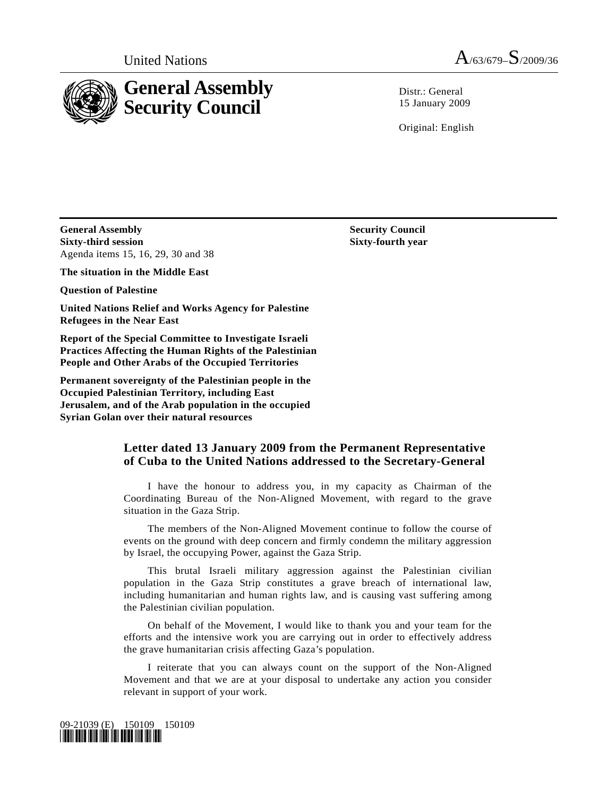

United Nations  $A_{/63/679}S_{/2009/36}$ 

 $Distr: General$ 15 January 2009

Original: English

**General Assembly Security Council Sixty-third session**  Agenda items 15, 16, 29, 30 and 38

**The situation in the Middle East** 

**Question of Palestine** 

**United Nations Relief and Works Agency for Palestine Refugees in the Near East** 

**Report of the Special Committee to Investigate Israeli Practices Affecting the Human Rights of the Palestinian People and Other Arabs of the Occupied Territories** 

**Permanent sovereignty of the Palestinian people in the Occupied Palestinian Territory, including East Jerusalem, and of the Arab population in the occupied Syrian Golan over their natural resources**

## **Letter dated 13 January 2009 from the Permanent Representative of Cuba to the United Nations addressed to the Secretary-General**

 I have the honour to address you, in my capacity as Chairman of the Coordinating Bureau of the Non-Aligned Movement, with regard to the grave situation in the Gaza Strip.

 The members of the Non-Aligned Movement continue to follow the course of events on the ground with deep concern and firmly condemn the military aggression by Israel, the occupying Power, against the Gaza Strip.

 This brutal Israeli military aggression against the Palestinian civilian population in the Gaza Strip constitutes a grave breach of international law, including humanitarian and human rights law, and is causing vast suffering among the Palestinian civilian population.

 On behalf of the Movement, I would like to thank you and your team for the efforts and the intensive work you are carrying out in order to effectively address the grave humanitarian crisis affecting Gaza's population.

 I reiterate that you can always count on the support of the Non-Aligned Movement and that we are at your disposal to undertake any action you consider relevant in support of your work.



 **Sixty-fourth year**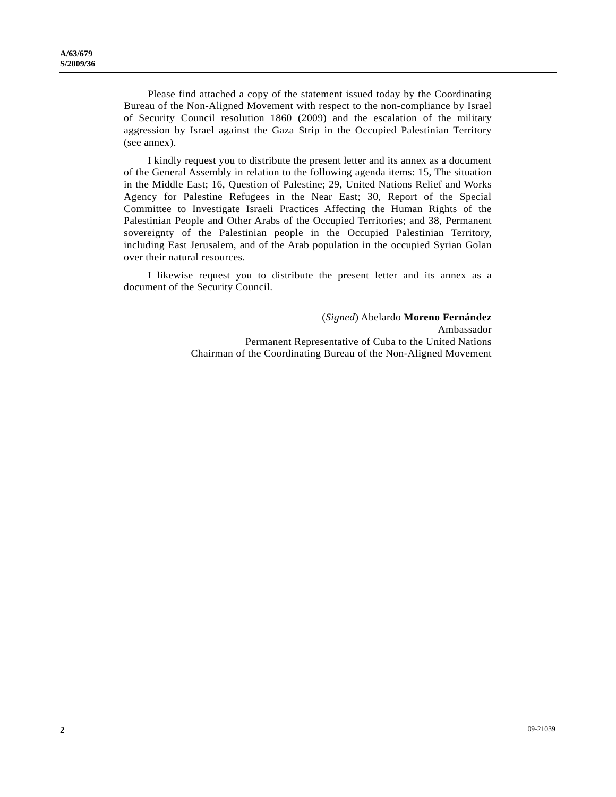Please find attached a copy of the statement issued today by the Coordinating Bureau of the Non-Aligned Movement with respect to the non-compliance by Israel of Security Council resolution 1860 (2009) and the escalation of the military aggression by Israel against the Gaza Strip in the Occupied Palestinian Territory (see annex).

 I kindly request you to distribute the present letter and its annex as a document of the General Assembly in relation to the following agenda items: 15, The situation in the Middle East; 16, Question of Palestine; 29, United Nations Relief and Works Agency for Palestine Refugees in the Near East; 30, Report of the Special Committee to Investigate Israeli Practices Affecting the Human Rights of the Palestinian People and Other Arabs of the Occupied Territories; and 38, Permanent sovereignty of the Palestinian people in the Occupied Palestinian Territory, including East Jerusalem, and of the Arab population in the occupied Syrian Golan over their natural resources.

 I likewise request you to distribute the present letter and its annex as a document of the Security Council.

> (*Signed*) Abelardo **Moreno Fernández**  Ambassador Permanent Representative of Cuba to the United Nations Chairman of the Coordinating Bureau of the Non-Aligned Movement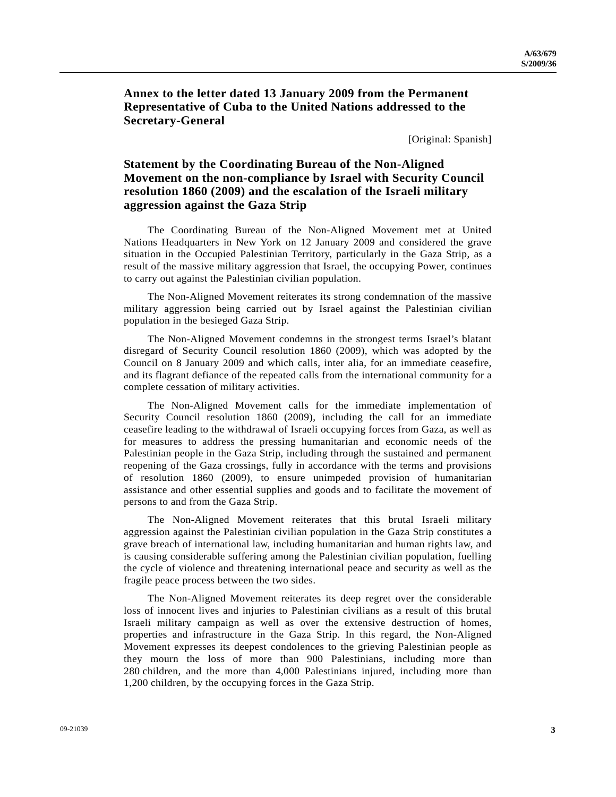**Annex to the letter dated 13 January 2009 from the Permanent Representative of Cuba to the United Nations addressed to the Secretary-General** 

[Original: Spanish]

## **Statement by the Coordinating Bureau of the Non-Aligned Movement on the non-compliance by Israel with Security Council resolution 1860 (2009) and the escalation of the Israeli military aggression against the Gaza Strip**

 The Coordinating Bureau of the Non-Aligned Movement met at United Nations Headquarters in New York on 12 January 2009 and considered the grave situation in the Occupied Palestinian Territory, particularly in the Gaza Strip, as a result of the massive military aggression that Israel, the occupying Power, continues to carry out against the Palestinian civilian population.

 The Non-Aligned Movement reiterates its strong condemnation of the massive military aggression being carried out by Israel against the Palestinian civilian population in the besieged Gaza Strip.

 The Non-Aligned Movement condemns in the strongest terms Israel's blatant disregard of Security Council resolution 1860 (2009), which was adopted by the Council on 8 January 2009 and which calls, inter alia, for an immediate ceasefire, and its flagrant defiance of the repeated calls from the international community for a complete cessation of military activities.

 The Non-Aligned Movement calls for the immediate implementation of Security Council resolution 1860 (2009), including the call for an immediate ceasefire leading to the withdrawal of Israeli occupying forces from Gaza, as well as for measures to address the pressing humanitarian and economic needs of the Palestinian people in the Gaza Strip, including through the sustained and permanent reopening of the Gaza crossings, fully in accordance with the terms and provisions of resolution 1860 (2009), to ensure unimpeded provision of humanitarian assistance and other essential supplies and goods and to facilitate the movement of persons to and from the Gaza Strip.

 The Non-Aligned Movement reiterates that this brutal Israeli military aggression against the Palestinian civilian population in the Gaza Strip constitutes a grave breach of international law, including humanitarian and human rights law, and is causing considerable suffering among the Palestinian civilian population, fuelling the cycle of violence and threatening international peace and security as well as the fragile peace process between the two sides.

 The Non-Aligned Movement reiterates its deep regret over the considerable loss of innocent lives and injuries to Palestinian civilians as a result of this brutal Israeli military campaign as well as over the extensive destruction of homes, properties and infrastructure in the Gaza Strip. In this regard, the Non-Aligned Movement expresses its deepest condolences to the grieving Palestinian people as they mourn the loss of more than 900 Palestinians, including more than 280 children, and the more than 4,000 Palestinians injured, including more than 1,200 children, by the occupying forces in the Gaza Strip.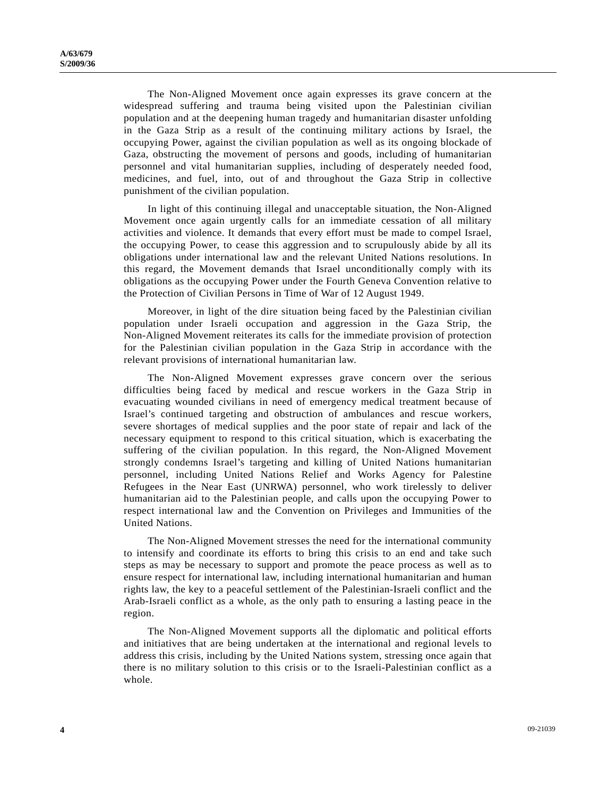The Non-Aligned Movement once again expresses its grave concern at the widespread suffering and trauma being visited upon the Palestinian civilian population and at the deepening human tragedy and humanitarian disaster unfolding in the Gaza Strip as a result of the continuing military actions by Israel, the occupying Power, against the civilian population as well as its ongoing blockade of Gaza, obstructing the movement of persons and goods, including of humanitarian personnel and vital humanitarian supplies, including of desperately needed food, medicines, and fuel, into, out of and throughout the Gaza Strip in collective punishment of the civilian population.

 In light of this continuing illegal and unacceptable situation, the Non-Aligned Movement once again urgently calls for an immediate cessation of all military activities and violence. It demands that every effort must be made to compel Israel, the occupying Power, to cease this aggression and to scrupulously abide by all its obligations under international law and the relevant United Nations resolutions. In this regard, the Movement demands that Israel unconditionally comply with its obligations as the occupying Power under the Fourth Geneva Convention relative to the Protection of Civilian Persons in Time of War of 12 August 1949.

 Moreover, in light of the dire situation being faced by the Palestinian civilian population under Israeli occupation and aggression in the Gaza Strip, the Non-Aligned Movement reiterates its calls for the immediate provision of protection for the Palestinian civilian population in the Gaza Strip in accordance with the relevant provisions of international humanitarian law.

 The Non-Aligned Movement expresses grave concern over the serious difficulties being faced by medical and rescue workers in the Gaza Strip in evacuating wounded civilians in need of emergency medical treatment because of Israel's continued targeting and obstruction of ambulances and rescue workers, severe shortages of medical supplies and the poor state of repair and lack of the necessary equipment to respond to this critical situation, which is exacerbating the suffering of the civilian population. In this regard, the Non-Aligned Movement strongly condemns Israel's targeting and killing of United Nations humanitarian personnel, including United Nations Relief and Works Agency for Palestine Refugees in the Near East (UNRWA) personnel, who work tirelessly to deliver humanitarian aid to the Palestinian people, and calls upon the occupying Power to respect international law and the Convention on Privileges and Immunities of the United Nations.

 The Non-Aligned Movement stresses the need for the international community to intensify and coordinate its efforts to bring this crisis to an end and take such steps as may be necessary to support and promote the peace process as well as to ensure respect for international law, including international humanitarian and human rights law, the key to a peaceful settlement of the Palestinian-Israeli conflict and the Arab-Israeli conflict as a whole, as the only path to ensuring a lasting peace in the region.

 The Non-Aligned Movement supports all the diplomatic and political efforts and initiatives that are being undertaken at the international and regional levels to address this crisis, including by the United Nations system, stressing once again that there is no military solution to this crisis or to the Israeli-Palestinian conflict as a whole.